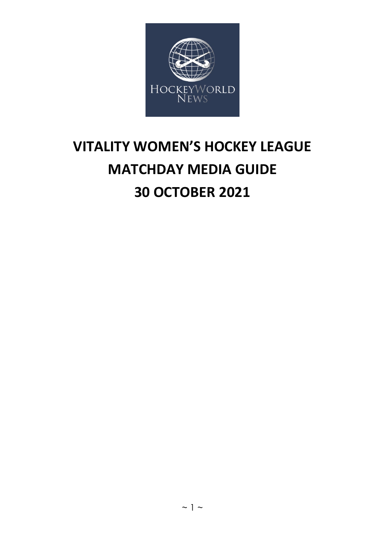

# **VITALITY WOMEN'S HOCKEY LEAGUE MATCHDAY MEDIA GUIDE 30 OCTOBER 2021**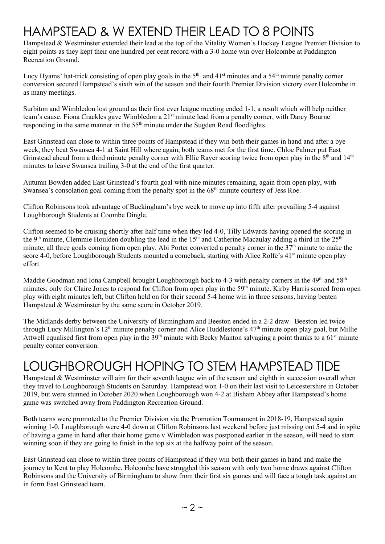# HAMPSTEAD & W EXTEND THEIR LEAD TO 8 POINTS

Hampstead & Westminster extended their lead at the top of the Vitality Women's Hockey League Premier Division to eight points as they kept their one hundred per cent record with a 3-0 home win over Holcombe at Paddington Recreation Ground.

Lucy Hyams' hat-trick consisting of open play goals in the  $5<sup>th</sup>$  and  $41<sup>st</sup>$  minutes and a  $54<sup>th</sup>$  minute penalty corner conversion secured Hampstead's sixth win of the season and their fourth Premier Division victory over Holcombe in as many meetings.

Surbiton and Wimbledon lost ground as their first ever league meeting ended 1-1, a result which will help neither team's cause. Fiona Crackles gave Wimbledon a 21<sup>st</sup> minute lead from a penalty corner, with Darcy Bourne responding in the same manner in the 55<sup>th</sup> minute under the Sugden Road floodlights.

East Grinstead can close to within three points of Hampstead if they win both their games in hand and after a bye week, they beat Swansea 4-1 at Saint Hill where again, both teams met for the first time. Chloe Palmer put East Grinstead ahead from a third minute penalty corner with Ellie Rayer scoring twice from open play in the 8<sup>th</sup> and 14<sup>th</sup> minutes to leave Swansea trailing 3-0 at the end of the first quarter.

Autumn Bowden added East Grinstead's fourth goal with nine minutes remaining, again from open play, with Swansea's consolation goal coming from the penalty spot in the 68<sup>th</sup> minute courtesy of Jess Roe.

Clifton Robinsons took advantage of Buckingham's bye week to move up into fifth after prevailing 5-4 against Loughborough Students at Coombe Dingle.

Clifton seemed to be cruising shortly after half time when they led 4-0, Tilly Edwards having opened the scoring in the 9<sup>th</sup> minute, Clemmie Houlden doubling the lead in the 15<sup>th</sup> and Catherine Macaulay adding a third in the 25<sup>th</sup> minute, all three goals coming from open play. Abi Porter converted a penalty corner in the  $37<sup>th</sup>$  minute to make the score 4-0, before Loughborough Students mounted a comeback, starting with Alice Rolfe's 41<sup>st</sup> minute open play effort.

Maddie Goodman and Iona Campbell brought Loughborough back to 4-3 with penalty corners in the 49<sup>th</sup> and 58<sup>th</sup> minutes, only for Claire Jones to respond for Clifton from open play in the 59<sup>th</sup> minute. Kirby Harris scored from open play with eight minutes left, but Clifton held on for their second 5-4 home win in three seasons, having beaten Hampstead & Westminster by the same score in October 2019.

The Midlands derby between the University of Birmingham and Beeston ended in a 2-2 draw. Beeston led twice through Lucy Millington's  $12<sup>th</sup>$  minute penalty corner and Alice Huddlestone's  $47<sup>th</sup>$  minute open play goal, but Millie Attwell equalised first from open play in the  $39<sup>th</sup>$  minute with Becky Manton salvaging a point thanks to a 61<sup>st</sup> minute penalty corner conversion.

# LOUGHBOROUGH HOPING TO STEM HAMPSTEAD TIDE

Hampstead & Westminster will aim for their seventh league win of the season and eighth in succession overall when they travel to Loughborough Students on Saturday. Hampstead won 1-0 on their last visit to Leicestershire in October 2019, but were stunned in October 2020 when Loughborough won 4-2 at Bisham Abbey after Hampstead's home game was switched away from Paddington Recreation Ground.

Both teams were promoted to the Premier Division via the Promotion Tournament in 2018-19, Hampstead again winning 1-0. Loughborough were 4-0 down at Clifton Robinsons last weekend before just missing out 5-4 and in spite of having a game in hand after their home game v Wimbledon was postponed earlier in the season, will need to start winning soon if they are going to finish in the top six at the halfway point of the season.

East Grinstead can close to within three points of Hampstead if they win both their games in hand and make the journey to Kent to play Holcombe. Holcombe have struggled this season with only two home draws against Clifton Robinsons and the University of Birmingham to show from their first six games and will face a tough task against an in form East Grinstead team.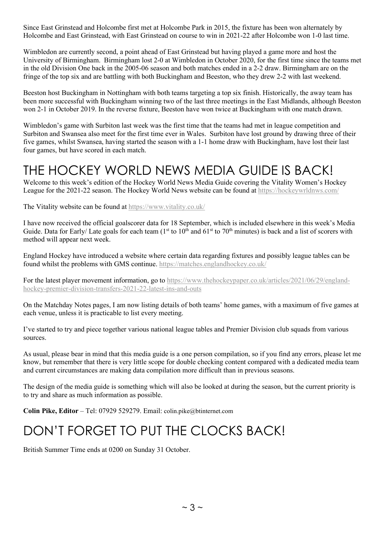Since East Grinstead and Holcombe first met at Holcombe Park in 2015, the fixture has been won alternately by Holcombe and East Grinstead, with East Grinstead on course to win in 2021-22 after Holcombe won 1-0 last time.

Wimbledon are currently second, a point ahead of East Grinstead but having played a game more and host the University of Birmingham. Birmingham lost 2-0 at Wimbledon in October 2020, for the first time since the teams met in the old Division One back in the 2005-06 season and both matches ended in a 2-2 draw. Birmingham are on the fringe of the top six and are battling with both Buckingham and Beeston, who they drew 2-2 with last weekend.

Beeston host Buckingham in Nottingham with both teams targeting a top six finish. Historically, the away team has been more successful with Buckingham winning two of the last three meetings in the East Midlands, although Beeston won 2-1 in October 2019. In the reverse fixture, Beeston have won twice at Buckingham with one match drawn.

Wimbledon's game with Surbiton last week was the first time that the teams had met in league competition and Surbiton and Swansea also meet for the first time ever in Wales. Surbiton have lost ground by drawing three of their five games, whilst Swansea, having started the season with a 1-1 home draw with Buckingham, have lost their last four games, but have scored in each match.

## THE HOCKEY WORLD NEWS MEDIA GUIDE IS BACK!

Welcome to this week's edition of the Hockey World News Media Guide covering the Vitality Women's Hockey League for the 2021-22 season. The Hockey World News website can be found at<https://hockeywrldnws.com/>

The Vitality website can be found at<https://www.vitality.co.uk/>

I have now received the official goalscorer data for 18 September, which is included elsewhere in this week's Media Guide. Data for Early/ Late goals for each team  $(1<sup>st</sup>$  to  $10<sup>th</sup>$  and  $61<sup>st</sup>$  to  $70<sup>th</sup>$  minutes) is back and a list of scorers with method will appear next week.

England Hockey have introduced a website where certain data regarding fixtures and possibly league tables can be found whilst the problems with GMS continue.<https://matches.englandhockey.co.uk/>

For the latest player movement information, go to [https://www.thehockeypaper.co.uk/articles/2021/06/29/england](https://www.thehockeypaper.co.uk/articles/2021/06/29/england-hockey-premier-division-transfers-2021-22-latest-ins-and-outs)[hockey-premier-division-transfers-2021-22-latest-ins-and-outs](https://www.thehockeypaper.co.uk/articles/2021/06/29/england-hockey-premier-division-transfers-2021-22-latest-ins-and-outs)

On the Matchday Notes pages, I am now listing details of both teams' home games, with a maximum of five games at each venue, unless it is practicable to list every meeting.

I've started to try and piece together various national league tables and Premier Division club squads from various sources.

As usual, please bear in mind that this media guide is a one person compilation, so if you find any errors, please let me know, but remember that there is very little scope for double checking content compared with a dedicated media team and current circumstances are making data compilation more difficult than in previous seasons.

The design of the media guide is something which will also be looked at during the season, but the current priority is to try and share as much information as possible.

**Colin Pike, Editor** – Tel: 07929 529279. Email: [colin.pike@btinternet.com](mailto:colin.pike@btinternet.com)

# DON'T FORGET TO PUT THE CLOCKS BACK!

British Summer Time ends at 0200 on Sunday 31 October.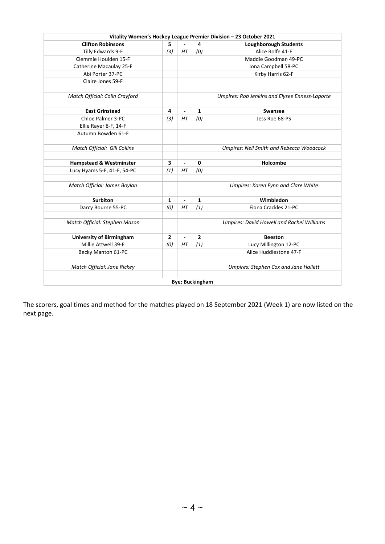|                                    |                |                |                        | Vitality Women's Hockey League Premier Division - 23 October 2021 |
|------------------------------------|----------------|----------------|------------------------|-------------------------------------------------------------------|
| <b>Clifton Robinsons</b>           | 5              |                | 4                      | <b>Loughborough Students</b>                                      |
| Tilly Edwards 9-F                  | (3)            | HT             | (0)                    | Alice Rolfe 41-F                                                  |
| Clemmie Houlden 15-F               |                |                |                        | Maddie Goodman 49-PC                                              |
| Catherine Macaulay 25-F            |                |                |                        | Iona Campbell 58-PC                                               |
| Abi Porter 37-PC                   |                |                |                        | Kirby Harris 62-F                                                 |
| Claire Jones 59-F                  |                |                |                        |                                                                   |
|                                    |                |                |                        |                                                                   |
| Match Official: Colin Crayford     |                |                |                        | Umpires: Rob Jenkins and Elysee Enness-Laporte                    |
|                                    |                |                |                        |                                                                   |
| <b>East Grinstead</b>              | 4              | $\blacksquare$ | 1                      | <b>Swansea</b>                                                    |
| Chloe Palmer 3-PC                  | (3)            | HT             | (0)                    | Jess Roe 68-PS                                                    |
| Ellie Rayer 8-F, 14-F              |                |                |                        |                                                                   |
| Autumn Bowden 61-F                 |                |                |                        |                                                                   |
|                                    |                |                |                        |                                                                   |
| Match Official: Gill Collins       |                |                |                        | <b>Umpires: Neil Smith and Rebecca Woodcock</b>                   |
|                                    | 3              | ä,             | 0                      | Holcombe                                                          |
| <b>Hampstead &amp; Westminster</b> | (1)            | HT             | (0)                    |                                                                   |
| Lucy Hyams 5-F, 41-F, 54-PC        |                |                |                        |                                                                   |
| Match Official: James Boylan       |                |                |                        | Umpires: Karen Fynn and Clare White                               |
|                                    |                |                |                        |                                                                   |
| <b>Surbiton</b>                    | 1              | $\blacksquare$ | 1                      | Wimbledon                                                         |
| Darcy Bourne 55-PC                 | (0)            | HT             | (1)                    | Fiona Crackles 21-PC                                              |
|                                    |                |                |                        |                                                                   |
| Match Official: Stephen Mason      |                |                |                        | <b>Umpires: David Howell and Rachel Williams</b>                  |
|                                    |                |                |                        |                                                                   |
| <b>University of Birmingham</b>    | $\overline{2}$ | $\blacksquare$ | $\overline{2}$         | <b>Beeston</b>                                                    |
| Millie Attwell 39-F                | (0)            | HT             | (1)                    | Lucy Millington 12-PC                                             |
| Becky Manton 61-PC                 |                |                |                        | Alice Huddlestone 47-F                                            |
|                                    |                |                |                        |                                                                   |
| Match Official: Jane Rickey        |                |                |                        | Umpires: Stephen Cox and Jane Hallett                             |
|                                    |                |                |                        |                                                                   |
|                                    |                |                | <b>Bye: Buckingham</b> |                                                                   |

The scorers, goal times and method for the matches played on 18 September 2021 (Week 1) are now listed on the next page.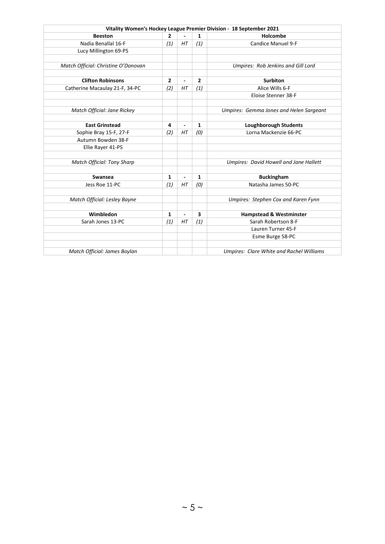|                                     |                |                          |              | Vitality Women's Hockey League Premier Division - 18 September 2021 |
|-------------------------------------|----------------|--------------------------|--------------|---------------------------------------------------------------------|
| <b>Beeston</b>                      | 2              |                          | $\mathbf{1}$ | Holcombe                                                            |
| Nadia Benallal 16-F                 | (1)            | HT                       | (1)          | <b>Candice Manuel 9-F</b>                                           |
| Lucy Millington 69-PS               |                |                          |              |                                                                     |
|                                     |                |                          |              |                                                                     |
| Match Official: Christine O'Donovan |                |                          |              | Umpires: Rob Jenkins and Gill Lord                                  |
|                                     |                |                          |              |                                                                     |
| <b>Clifton Robinsons</b>            | $\overline{2}$ | ٠                        | 2            | <b>Surbiton</b>                                                     |
| Catherine Macaulay 21-F, 34-PC      | (2)            | HT                       | (1)          | Alice Wills 6-F                                                     |
|                                     |                |                          |              | Eloise Stenner 38-F                                                 |
|                                     |                |                          |              |                                                                     |
| Match Official: Jane Rickey         |                |                          |              | Umpires: Gemma Jones and Helen Sargeant                             |
|                                     |                |                          |              |                                                                     |
| <b>East Grinstead</b>               | 4              | $\overline{a}$           | 1            | <b>Loughborough Students</b>                                        |
| Sophie Bray 15-F, 27-F              | (2)            | HT                       | (0)          | Lorna Mackenzie 66-PC                                               |
| Autumn Bowden 38-F                  |                |                          |              |                                                                     |
| Ellie Rayer 41-PS                   |                |                          |              |                                                                     |
|                                     |                |                          |              |                                                                     |
| <b>Match Official: Tony Sharp</b>   |                |                          |              | <b>Umpires: David Howell and Jane Hallett</b>                       |
|                                     |                |                          |              |                                                                     |
| Swansea                             | 1              | $\overline{\phantom{a}}$ | 1            | <b>Buckingham</b>                                                   |
| Jess Roe 11-PC                      | (1)            | HT                       | (0)          | Natasha James 50-PC                                                 |
|                                     |                |                          |              |                                                                     |
| Match Official: Lesley Bayne        |                |                          |              | Umpires: Stephen Cox and Karen Fynn                                 |
|                                     |                |                          |              |                                                                     |
| Wimbledon                           | 1              | $\blacksquare$           | 3            | <b>Hampstead &amp; Westminster</b>                                  |
| Sarah Jones 13-PC                   | (1)            | HT                       | (1)          | Sarah Robertson 8-F                                                 |
|                                     |                |                          |              | Lauren Turner 45-F                                                  |
|                                     |                |                          |              | Esme Burge 58-PC                                                    |
|                                     |                |                          |              |                                                                     |
| Match Official: James Boylan        |                |                          |              | <b>Umpires: Clare White and Rachel Williams</b>                     |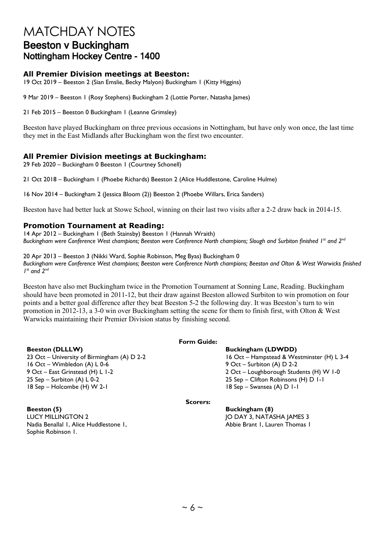## MATCHDAY NOTES Beeston v Buckingham Nottingham Hockey Centre - 1400

#### **All Premier Division meetings at Beeston:**

19 Oct 2019 – Beeston 2 (Sian Emslie, Becky Malyon) Buckingham 1 (Kitty Higgins)

9 Mar 2019 – Beeston 1 (Rosy Stephens) Buckingham 2 (Lottie Porter, Natasha James)

21 Feb 2015 – Beeston 0 Buckingham 1 (Leanne Grimsley)

Beeston have played Buckingham on three previous occasions in Nottingham, but have only won once, the last time they met in the East Midlands after Buckingham won the first two encounter.

#### **All Premier Division meetings at Buckingham:**

29 Feb 2020 – Buckingham 0 Beeston 1 (Courtney Schonell)

21 Oct 2018 – Buckingham 1 (Phoebe Richards) Beeston 2 (Alice Huddlestone, Caroline Hulme)

16 Nov 2014 – Buckingham 2 (Jessica Bloom (2)) Beeston 2 (Phoebe Willars, Erica Sanders)

Beeston have had better luck at Stowe School, winning on their last two visits after a 2-2 draw back in 2014-15.

#### **Promotion Tournament at Reading:**

14 Apr 2012 – Buckingham 1 (Beth Stainsby) Beeston 1 (Hannah Wraith) *Buckingham were Conference West champions; Beeston were Conference North champions; Slough and Surbiton finished 1st and 2nd*

20 Apr 2013 – Beeston 3 (Nikki Ward, Sophie Robinson, Meg Byas) Buckingham 0 *Buckingham were Conference West champions; Beeston were Conference North champions; Beeston and Olton & West Warwicks finished 1st and 2nd*

Beeston have also met Buckingham twice in the Promotion Tournament at Sonning Lane, Reading. Buckingham should have been promoted in 2011-12, but their draw against Beeston allowed Surbiton to win promotion on four points and a better goal difference after they beat Beeston 5-2 the following day. It was Beeston's turn to win promotion in 2012-13, a 3-0 win over Buckingham setting the scene for them to finish first, with Olton & West Warwicks maintaining their Premier Division status by finishing second.

**Beeston (DLLLW)**<br>23 Oct – University of Birmingham (A) D 2-2 1 16 Oct – Hampstead & We 16 Oct – Wimbledon (A) L 0-6 9 Oct – Surbiton (A) D 2-2 9 Oct – East Grinstead (H) L 1-2 2 Oct – Loughborough Students (H) W 1-0 25 Sep – Surbiton (A) L 0-2 25 Sep – Clifton Robinsons (H) D 1-1 18 Sep – Holcombe (H) W 2-1 18 Sep – Swansea (A) D 1-1

#### **Form Guide:**

16 Oct – Hampstead & Westminster (H) L 3-4

**Scorers:**

IO DAY 3, NATASHA JAMES 3 Abbie Brant 1, Lauren Thomas 1

**Beeston (5) Buckingham (8)** Nadia Benallal 1, Alice Huddlestone 1, Sophie Robinson 1.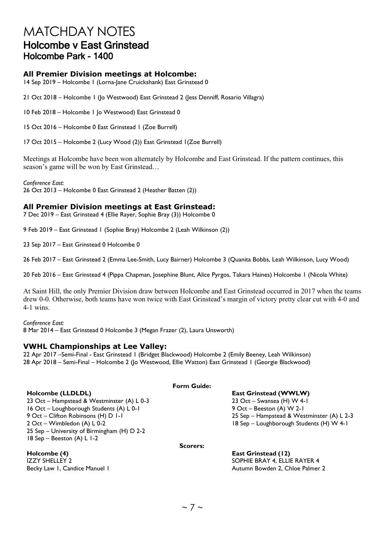## MATCHDAY NOTES Holcombe v East Grinstead Holcombe Park - 1400

#### **All Premier Division meetings at Holcombe:**

14 Sep 2019 – Holcombe 1 (Lorna-Jane Cruickshank) East Grinstead 0

21 Oct 2018 – Holcombe 1 (Jo Westwood) East Grinstead 2 (Jess Denniff, Rosario Villagra)

10 Feb 2018 – Holcombe 1 Jo Westwood) East Grinstead 0

15 Oct 2016 – Holcombe 0 East Grinstead 1 (Zoe Burrell)

17 Oct 2015 – Holcombe 2 (Lucy Wood (2)) East Grinstead 1(Zoe Burrell)

Meetings at Holcombe have been won alternately by Holcombe and East Grinstead. If the pattern continues, this season's game will be won by East Grinstead…

*Conference East:*

26 Oct 2013 – Holcombe 0 East Grinstead 2 (Heather Batten (2))

#### **All Premier Division meetings at East Grinstead:**

7 Dec 2019 – East Grinstead 4 (Ellie Rayer, Sophie Bray (3)) Holcombe 0

9 Feb 2019 – East Grinstead 1 (Sophie Bray) Holcombe 2 (Leah Wilkinson (2))

23 Sep 2017 – East Grinstead 0 Holcombe 0

26 Feb 2017 – East Grinstead 2 (Emma Lee-Smith, Lucy Bairner) Holcombe 3 (Quanita Bobbs, Leah Wilkinson, Lucy Wood)

20 Feb 2016 – East Grinstead 4 (Pippa Chapman, Josephine Blunt, Alice Pyrgos, Takara Haines) Holcombe 1 (Nicola White)

At Saint Hill, the only Premier Division draw between Holcombe and East Grinstead occurred in 2017 when the teams drew 0-0. Otherwise, both teams have won twice with East Grinstead's margin of victory pretty clear cut with 4-0 and 4-1 wins.

*Conference East:* 8 Mar 2014 – East Grinstead 0 Holcombe 3 (Megan Frazer (2), Laura Unsworth)

#### **VWHL Championships at Lee Valley:**

22 Apr 2017 –Semi-Final - East Grinstead 1 (Bridget Blackwood) Holcombe 2 (Emily Beeney, Leah Wilkinson) 28 Apr 2018 – Semi-Final – Holcombe 2 (Jo Westwood, Ellie Watton) East Grinstead 1 (Georgie Blackwood)

#### **Form Guide:**

**Holcombe (LLDLDL) East Grinstead (WWLW)** 23 Oct – Hampstead & Westminster (A) L 0-3 16 Oct – Loughborough Students (A) L 0-1 9 Oct – Beeston (A) W 2-1 9 Oct – Clifton Robinsons (H) D 1-1 2006 25 Sep – Hampstead & Westminster (A) L 2-3<br>29 Oct – Wimbledon (A) L 0-2 2 2006 2010 18 Sep – Loughborough Students (H) W 4-1 25 Sep – University of Birmingham (H) D 2-2 18 Sep – Beeston (A) L 1-2

18 Sep – Loughborough Students (H) W 4-1

**Scorers:**

**Holcombe (4) East Grinstead (12)** IZZY SHELLEY 2 SOPHIE BRAY 4, ELLIE RAYER 4 Becky Law I, Candice Manuel 1 Autumn Bowden 2, Chloe Palmer 2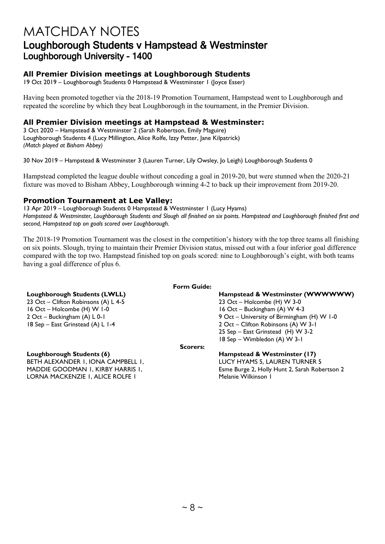## MATCHDAY NOTES Loughborough Students v Hampstead & Westminster Loughborough University - 1400

### **All Premier Division meetings at Loughborough Students**

19 Oct 2019 – Loughborough Students 0 Hampstead & Westminster 1 (Joyce Esser)

Having been promoted together via the 2018-19 Promotion Tournament, Hampstead went to Loughborough and repeated the scoreline by which they beat Loughborough in the tournament, in the Premier Division.

### **All Premier Division meetings at Hampstead & Westminster:**

3 Oct 2020 – Hampstead & Westminster 2 (Sarah Robertson, Emily Maguire) Loughborough Students 4 (Lucy Millington, Alice Rolfe, Izzy Petter, Jane Kilpatrick) *(Match played at Bisham Abbey)*

30 Nov 2019 – Hampstead & Westminster 3 (Lauren Turner, Lily Owsley, Jo Leigh) Loughborough Students 0

Hampstead completed the league double without conceding a goal in 2019-20, but were stunned when the 2020-21 fixture was moved to Bisham Abbey, Loughborough winning 4-2 to back up their improvement from 2019-20.

#### **Promotion Tournament at Lee Valley:**

13 Apr 2019 – Loughborough Students 0 Hampstead & Westminster 1 (Lucy Hyams) *Hampstead & Westminster, Loughborough Students and Slough all finished on six points. Hampstead and Loughborough finished first and second, Hampstead top on goals scored over Loughborough.*

The 2018-19 Promotion Tournament was the closest in the competition's history with the top three teams all finishing on six points. Slough, trying to maintain their Premier Division status, missed out with a four inferior goal difference compared with the top two. Hampstead finished top on goals scored: nine to Loughborough's eight, with both teams having a goal difference of plus 6.

23 Oct – Clifton Robinsons (A) L  $4-5$ 16 Oct – Holcombe (H) W 1-0 16 Oct – Buckingham (A) W 4-3<br>16 Oct – Buckingham (A) L 0-1 16 Oct – University of Birminghan

#### **Form Guide:**

**Loughborough Students (LWLL)**<br>
23 Oct – Clifton Robinsons (A) L 4-5<br>
23 Oct – Holcombe (H) W 3-0 9 Oct – University of Birmingham (H) W 1-0 18 Sep – East Grinstead (A) L 1-4 2 Oct – Clifton Robinsons (A) W 3-1 25 Sep – East Grinstead (H) W 3-2 18 Sep – Wimbledon (A) W 3-1

**Scorers:**

BETH ALEXANDER 1, IONA CAMPBELL 1, MADDIE GOODMAN 1, KIRBY HARRIS 1, LORNA MACKENZIE 1, ALICE ROLFE 1

**Loughborough Students (6) Hampstead & Westminster (17)**

LUCY HYAMS 5, LAUREN TURNER 5 Esme Burge 2, Holly Hunt 2, Sarah Robertson 2 Melanie Wilkinson 1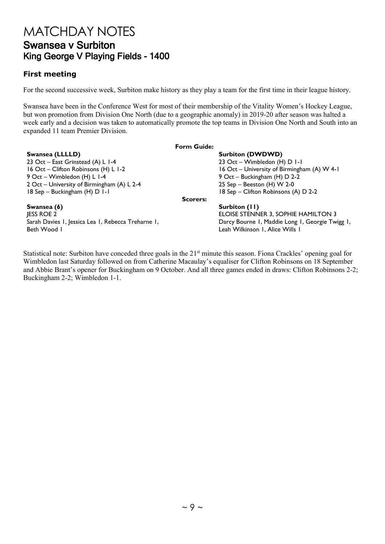## MATCHDAY NOTES Swansea v Surbiton King George V Playing Fields - 1400

### **First meeting**

For the second successive week, Surbiton make history as they play a team for the first time in their league history.

Swansea have been in the Conference West for most of their membership of the Vitality Women's Hockey League, but won promotion from Division One North (due to a geographic anomaly) in 2019-20 after season was halted a week early and a decision was taken to automatically promote the top teams in Division One North and South into an expanded 11 team Premier Division.

|                                                    | <b>Form Guide:</b> |                                                 |
|----------------------------------------------------|--------------------|-------------------------------------------------|
| Swansea (LLLLD)                                    |                    | <b>Surbiton (DWDWD)</b>                         |
| 23 Oct - East Grinstead (A) L 1-4                  |                    | 23 Oct - Wimbledon (H) D I-I                    |
| 16 Oct - Clifton Robinsons (H) L 1-2               |                    | 16 Oct - University of Birmingham (A) W 4-1     |
| 9 Oct - Wimbledon (H) L I-4                        |                    | 9 Oct – Buckingham (H) D 2-2                    |
| 2 Oct - University of Birmingham (A) L 2-4         |                    | 25 Sep - Beeston (H) W 2-0                      |
| 18 Sep - Buckingham (H) D 1-1                      |                    | 18 Sep - Clifton Robinsons (A) D 2-2            |
|                                                    | <b>Scorers:</b>    |                                                 |
| Swansea (6)                                        |                    | Surbiton (11)                                   |
| <b>JESS ROE 2</b>                                  |                    | ELOISE STENNER 3, SOPHIE HAMILTON 3             |
| Sarah Davies I, Jessica Lea I, Rebecca Treharne I, |                    | Darcy Bourne I, Maddie Long I, Georgie Twigg I, |
| Beth Wood I                                        |                    | Leah Wilkinson I, Alice Wills I                 |
|                                                    |                    |                                                 |

Statistical note: Surbiton have conceded three goals in the 21<sup>st</sup> minute this season. Fiona Crackles' opening goal for Wimbledon last Saturday followed on from Catherine Macaulay's equaliser for Clifton Robinsons on 18 September and Abbie Brant's opener for Buckingham on 9 October. And all three games ended in draws: Clifton Robinsons 2-2; Buckingham 2-2; Wimbledon 1-1.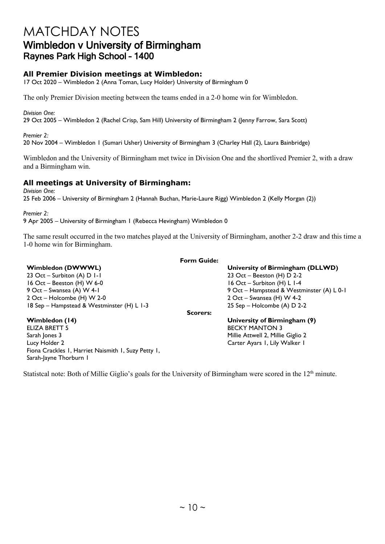## MATCHDAY NOTES Wimbledon v University of Birmingham Raynes Park High School – 1400

### **All Premier Division meetings at Wimbledon:**

17 Oct 2020 – Wimbledon 2 (Anna Toman, Lucy Holder) University of Birmingham 0

The only Premier Division meeting between the teams ended in a 2-0 home win for Wimbledon.

*Division One:* 29 Oct 2005 – Wimbledon 2 (Rachel Crisp, Sam Hill) University of Birmingham 2 (Jenny Farrow, Sara Scott)

*Premier 2:*  20 Nov 2004 – Wimbledon 1 (Sumari Usher) University of Birmingham 3 (Charley Hall (2), Laura Bainbridge)

Wimbledon and the University of Birmingham met twice in Division One and the shortlived Premier 2, with a draw and a Birmingham win.

### **All meetings at University of Birmingham:**

Fiona Crackles 1, Harriet Naismith 1, Suzy Petty 1,

Sarah-Jayne Thorburn 1

*Division One:* 25 Feb 2006 – University of Birmingham 2 (Hannah Buchan, Marie-Laure Rigg) Wimbledon 2 (Kelly Morgan (2))

*Premier 2:* 

9 Apr 2005 – University of Birmingham 1 (Rebecca Hevingham) Wimbledon 0

The same result occurred in the two matches played at the University of Birmingham, another 2-2 draw and this time a 1-0 home win for Birmingham.

|                                            | <b>Form Guide:</b> |                                           |
|--------------------------------------------|--------------------|-------------------------------------------|
| <b>Wimbledon (DWWWL)</b>                   |                    | University of Birmingham (DLLWD)          |
| 23 Oct – Surbiton (A) $D I-I$              |                    | 23 Oct - Beeston (H) $D$ 2-2              |
| 16 Oct – Beeston (H) W 6-0                 |                    | 16 Oct - Surbiton (H) L 1-4               |
| 9 Oct – Swansea (A) W 4-1                  |                    | 9 Oct - Hampstead & Westminster (A) L 0-1 |
| 2 Oct – Holcombe (H) W 2-0                 |                    | 2 Oct – Swansea (H) W 4-2                 |
| 18 Sep - Hampstead & Westminster (H) L 1-3 |                    | 25 Sep - Holcombe (A) D 2-2               |
|                                            | <b>Scorers:</b>    |                                           |
| Wimbledon (14)                             |                    | University of Birmingham (9)              |
| ELIZA BRETT 5                              |                    | <b>BECKY MANTON 3</b>                     |
| Sarah Jones 3                              |                    | Millie Attwell 2, Millie Giglio 2         |
| Lucy Holder 2                              |                    | Carter Ayars I, Lily Walker I             |

Statistcal note: Both of Millie Giglio's goals for the University of Birmingham were scored in the  $12<sup>th</sup>$  minute.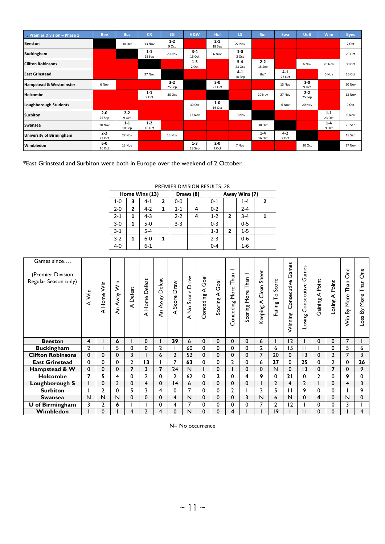| Premier Division - Phase 1         | <b>Bee</b>        | <b>Buc</b>       | <b>CR</b>         | EG               | H&W               | Hol               | LS.               | Sur               | Swa              | <b>UoB</b>        | <b>Wim</b>        | <b>Byes</b> |
|------------------------------------|-------------------|------------------|-------------------|------------------|-------------------|-------------------|-------------------|-------------------|------------------|-------------------|-------------------|-------------|
| <b>Beeston</b>                     |                   | 30 Oct           | 13 Nov            | $1 - 2$<br>9 Oct |                   | $2 - 1$<br>18 Sep | 27 Nov            |                   |                  |                   |                   | 2 Oct       |
| <b>Buckingham</b>                  |                   |                  | $1 - 1$<br>25 Sep | 20 Nov           | $3 - 4$<br>16 Oct | 6 Nov             | $1-0$<br>2 Oct    |                   |                  |                   |                   | 23 Oct      |
| <b>Clifton Robinsons</b>           |                   |                  |                   |                  | $1 - 3$<br>2 Oct  |                   | $5 - 4$<br>23 Oct | $2 - 2$<br>18 Sep |                  | 6 Nov             | 20 Nov            | 30 Oct      |
| <b>East Grinstead</b>              |                   |                  | 27 Nov            |                  |                   |                   | $4 - 1$<br>18 Sep | tbc"              | $4-1$<br>23 Oct  |                   | 6 Nov             | 16 Oct      |
| <b>Hampstead &amp; Westminster</b> | 6 Nov             |                  |                   | $3-2$<br>25 Sep  |                   | $3-0$<br>23 Oct   |                   |                   | 13 Nov           | $1-0$<br>9 Oct    |                   | 20 Nov      |
| Holcombe                           |                   |                  | $1 - 1$<br>9 Oct  | 30 Oct           |                   |                   |                   | 20 Nov            | 27 Nov           | $2 - 2$<br>25 Sep |                   | 13 Nov      |
| <b>Loughborough Students</b>       |                   |                  |                   |                  | 30 Oct            | $1-0$<br>16 Oct   |                   |                   | 6 Nov            | 20 Nov            |                   | 9 Oct       |
| <b>Surbiton</b>                    | $2 - 0$<br>25 Sep | $2 - 2$<br>9 Oct |                   |                  | 27 Nov            |                   | 13 Nov            |                   |                  |                   | $1 - 1$<br>23 Oct | 6 Nov       |
| Swansea                            | 20 Nov            | $1-1$<br>18 Sep  | $1 - 2$<br>16 Oct |                  |                   |                   |                   | 30 Oct            |                  |                   | $1 - 4$<br>9 Oct  | 25 Sep      |
| <b>University of Birmingham</b>    | $2 - 2$<br>23 Oct | 27 Nov           |                   | 13 Nov           |                   |                   |                   | $1 - 4$<br>16 Oct | $4 - 2$<br>2 Oct |                   |                   | 18 Sep      |
| Wimbledon                          | $6-0$<br>16 Oct   | 13 Nov           |                   |                  | $1 - 3$<br>18 Sep | $2 - 0$<br>2 Oct  | 7 Nov             |                   |                  | 30 Oct            |                   | 27 Nov      |

\*East Grinstead and Surbiton were both in Europe over the weekend of 2 October

|         | <b>PREMIER DIVISION RESULTS: 28</b> |                |                |         |           |         |               |         |   |  |  |  |  |
|---------|-------------------------------------|----------------|----------------|---------|-----------|---------|---------------|---------|---|--|--|--|--|
|         |                                     | Home Wins (13) |                |         | Draws (8) |         | Away Wins (7) |         |   |  |  |  |  |
| $1 - 0$ | 3                                   | $4 - 1$        | $\overline{2}$ | $0-0$   |           | $0 - 1$ |               | $1 - 4$ | 2 |  |  |  |  |
| $2 - 0$ | $\mathbf{2}$                        | $4-2$          | 1              | $1 - 1$ | 4         | $0 - 2$ |               | $2 - 4$ |   |  |  |  |  |
| $2 - 1$ | 1                                   | $4 - 3$        |                | $2 - 2$ |           | $1 - 2$ | 2             | $3 - 4$ |   |  |  |  |  |
| $3 - 0$ | 1                                   | $5-0$          |                | $3 - 3$ |           | $0 - 3$ |               | $0 - 5$ |   |  |  |  |  |
| $3 - 1$ |                                     | $5 - 4$        |                |         |           | $1 - 3$ | 2             | $1 - 5$ |   |  |  |  |  |
| $3 - 2$ | 1                                   | $6-0$          | 1              |         |           | $2 - 3$ |               | $0-6$   |   |  |  |  |  |
| $4 - 0$ |                                     | $6 - 1$        |                |         |           | $0 - 4$ |               | $1 - 6$ |   |  |  |  |  |

| Games since<br>(Premier Division<br>Regular Season only) | Şin<br>∢       | Şin<br>Home <sup>1</sup><br>⋖ | An Away Win | Defeat<br>∢    | Defeat<br>Home<br>∢ | Defeat<br>Away<br>Ę     | Draw<br>Score<br>⋖ | Draw<br>Score<br>$\frac{1}{2}$<br>∢ | Goal<br>≺<br>onceding | Goal<br>⋖<br>Scoring | Than<br>More<br>onceding<br>$\cup$ | Than<br>More<br>Scoring | Sheet<br>Clean<br>⋖<br>Keeping | Score<br>P<br>Failing | Games<br>Consecutive<br>Winning | Games<br>Consecutive<br>osing | Point<br>⋖<br>Gaining | Point<br>⋖<br>Losing | δe<br>Than<br>More <sup>'</sup><br>δ<br>ξ | One<br>Than<br>More<br>δ<br>Loss |
|----------------------------------------------------------|----------------|-------------------------------|-------------|----------------|---------------------|-------------------------|--------------------|-------------------------------------|-----------------------|----------------------|------------------------------------|-------------------------|--------------------------------|-----------------------|---------------------------------|-------------------------------|-----------------------|----------------------|-------------------------------------------|----------------------------------|
| <b>Beeston</b>                                           | $\overline{4}$ |                               | 6           |                | $\mathbf{0}$        |                         | 39                 | 6                                   | 0                     | 0                    | $\mathbf{0}$                       | $\mathbf 0$             | 6                              |                       | 12                              |                               | $\mathbf{0}$          | 0                    | 7                                         |                                  |
| <b>Buckingham</b>                                        | $\overline{2}$ |                               | 5           | 0              | 0                   | $\mathbf{2}$            |                    | 60                                  | 0                     | 0                    | $\Omega$                           | $\mathbf 0$             | 2                              | 6                     | 15                              | $\Box$                        |                       | 0                    | 5                                         | 6                                |
| <b>Clifton Robinsons</b>                                 | $\mathbf 0$    | $\Omega$                      | 0           | 3              |                     | 6                       | $\overline{2}$     | 52                                  | 0                     | 0                    | $\Omega$                           | $\mathbf{0}$            | 7                              | 20                    | $\mathbf{0}$                    | 13                            | $\mathbf{0}$          | $\mathbf{2}$         | 7                                         | 3                                |
| <b>East Grinstead</b>                                    | $\mathbf 0$    | 0                             | 0           | $\overline{2}$ | 13                  |                         |                    | 63                                  | 0                     | 0                    | 2                                  | 0                       | 6                              | 27                    | $\Omega$                        | 25                            | 0                     | 2                    | 0                                         | 26                               |
| Hampstead & W                                            | 0              | $\mathbf 0$                   | 0           | 7              | 3                   | $\overline{\mathbf{z}}$ | 24                 | N                                   |                       | 0                    |                                    | 0                       | $\Omega$                       | N                     | 0                               | 13                            | $\mathbf{0}$          | 7                    | 0                                         | 9                                |
| Holcombe                                                 | $\overline{ }$ | 5                             | 4           | $\mathbf 0$    | $\overline{2}$      | 0                       | 2                  | 62                                  | 0                     | $\mathbf{z}$         | 0                                  | 4                       | 9                              | 0                     | 21                              | $\mathbf 0$                   | $\overline{2}$        | 0                    | 9                                         | 0                                |
| Loughborough S                                           |                | $\mathbf{0}$                  | 3           | $\Omega$       | 4                   | $\Omega$                | 4                  | 6                                   | 0                     | 0                    | $\mathbf{0}$                       | $\mathbf 0$             |                                | $\overline{2}$        | 4                               | $\overline{2}$                |                       | $\Omega$             | 4                                         | 3                                |
|                                                          |                |                               |             |                |                     |                         |                    |                                     |                       |                      |                                    |                         |                                |                       |                                 |                               |                       |                      |                                           |                                  |
| <b>Surbiton</b>                                          |                | $\overline{2}$                | 0           | 5              | 3                   | 4                       | $\Omega$           | $\overline{ }$                      | $\Omega$              | 0                    | $\mathbf{2}$                       |                         | 3                              | 5                     |                                 | 9                             | $\Omega$              | $\Omega$             |                                           | 9                                |
| <b>Swansea</b>                                           | N              | N                             | N           | 0              | $\mathbf 0$         | $\mathbf{0}$            | 4                  | N                                   | 0                     | 0                    | 0                                  | 3                       | N                              | 6                     | N                               | $\mathbf{0}$                  | 4                     | 0                    | N                                         | 0                                |
| <b>U</b> of Birmingham                                   | 3              | $\mathbf{2}$                  | 6           |                |                     | 0                       | 4                  |                                     | $\Omega$              | 0                    | 0                                  | $\mathbf 0$             |                                | $\mathbf{2}$          | 12                              |                               | $\Omega$              |                      | 3                                         |                                  |

N= No occurrence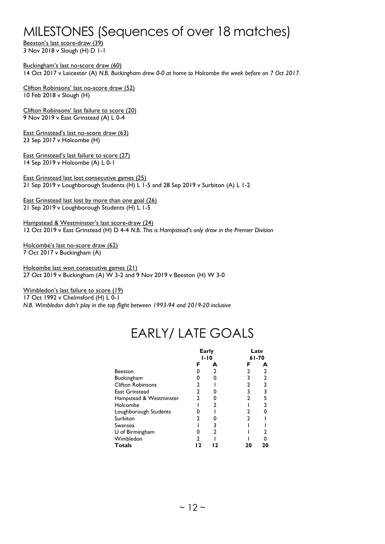## MILESTONES (Sequences of over 18 matches)

Beeston's last score-draw (39) 3 Nov 2018 v Slough (H) D 1-1

Buckingham's last no-score draw (60) 14 Oct 2017 v Leicester (A) *N.B. Buckingham drew 0-0 at home to Holcombe the week before on 7 Oct 2017.*

Clifton Robinsons' last no-score draw (52) 10 Feb 2018 v Slough (H)

Clifton Robinsons' last failure to score (20) 9 Nov 2019 v East Grinstead (A) L 0-4

East Grinstead's last no-score draw (63) 23 Sep 2017 v Holcombe (H)

East Grinstead's last failure to score (27) 14 Sep 2019 v Holcombe (A) L 0-1

East Grinstead last lost consecutive games (25) 21 Sep 2019 v Loughborough Students (H) L 1-5 and 28 Sep 2019 v Surbiton (A) L 1-2

East Grinstead last lost by more than one goal (26) 21 Sep 2019 v Loughborough Students (H) L 1-5

Hampstead & Westminster's last score-draw (24) 12 Oct 2019 v East Grinstead (H) D 4-4 *N.B. This is Hampstead's only draw in the Premier Division*

Holcombe's last no-score draw (62) 7 Oct 2017 v Buckingham (A)

Holcombe last won consecutive games (21) 27 Oct 2019 v Buckingham (A) W 3-2 and 9 Nov 2019 v Beeston (H) W 3-0

Wimbledon's last failure to score (19)

17 Oct 1992 v Chelmsford (H) L 0-1

*N.B. Wimbledon didn't play in the top flight between 1993-94 and 2019-20 inclusive*

## EARLY/ LATE GOALS

|                          | Early |          |       | Late |
|--------------------------|-------|----------|-------|------|
|                          |       | $1 - 10$ | 61-70 |      |
|                          | F     | А        | F     | А    |
| <b>Beeston</b>           |       |          |       |      |
| <b>Buckingham</b>        |       | ŋ        | 3     | 2    |
| <b>Clifton Robinsons</b> |       |          |       | 2    |
| <b>East Grinstead</b>    | 2     |          |       | 3    |
| Hampstead & Westminster  |       |          |       |      |
| Holcombe                 |       |          |       |      |
| Loughborough Students    |       |          |       |      |
| Surbiton                 |       |          | 2     |      |
| Swansea                  |       |          |       |      |
| U of Birmingham          |       |          |       |      |
| Wimbledon                |       |          |       |      |
| <b>Totals</b>            |       |          |       | 20   |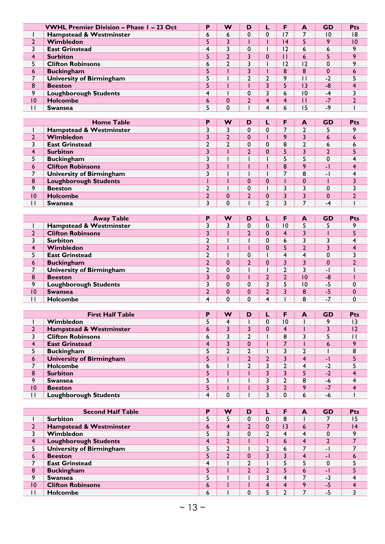|                 | <b>VWHL Premier Division - Phase I - 23 Oct</b> | Р | w           | D |   |                | A  | <b>GD</b> | Pts |
|-----------------|-------------------------------------------------|---|-------------|---|---|----------------|----|-----------|-----|
|                 | Hampstead & Westminster                         | 6 | 6           |   |   |                |    | 10        | 8   |
|                 | Wimbledon                                       |   | 3           |   |   | $\overline{4}$ |    | $\circ$   | 10  |
|                 | <b>East Grinstead</b>                           | 4 | 3           | 0 |   | $\overline{2}$ | 6  | ь         |     |
| 4               | <b>Surbiton</b>                                 |   | ┑           |   |   |                | 6  |           |     |
|                 | <b>Clifton Robinsons</b>                        | 6 | ∍           |   |   |                | 12 | $\Omega$  |     |
| 6               | <b>Buckingham</b>                               |   |             |   |   | 8              | 8  | $\Omega$  |     |
|                 | University of Birmingham                        |   |             |   |   | ۰              |    | $-2$      |     |
| 8               | <b>Beeston</b>                                  |   |             |   |   |                | 13 | -8        |     |
| 9               | <b>Loughborough Students</b>                    | 4 |             | 0 |   | 6              | 10 | -4        |     |
| $\overline{10}$ | <b>Holcombe</b>                                 | 6 | 0           |   | 4 |                |    | $-7$      |     |
|                 | <b>Swansea</b>                                  |   | $\mathbf 0$ |   |   | O              | 15 | -9        |     |

|                | <b>Home Table</b>               | D | w | D | F       | A | <b>GD</b>                | <b>Pts</b> |
|----------------|---------------------------------|---|---|---|---------|---|--------------------------|------------|
|                | Hampstead & Westminster         |   |   |   |         |   |                          |            |
| C.             | Wimbledon                       |   | C |   | $\circ$ |   | 6                        |            |
|                | <b>East Grinstead</b>           | ┑ | ำ |   | 8       |   | ь                        |            |
|                | <b>Surbiton</b>                 | ┑ |   |   |         |   |                          |            |
|                | <b>Buckingham</b>               | ำ |   |   |         |   | 0                        |            |
| 6              | <b>Clifton Robinsons</b>        |   |   |   | 8       | ٥ | - 1                      |            |
| $\overline{ }$ | <b>University of Birmingham</b> | ┑ |   |   |         | 8 | $\overline{\phantom{a}}$ |            |
| 8              | <b>Loughborough Students</b>    |   |   |   |         | υ |                          |            |
| 9              | <b>Beeston</b>                  | ┑ |   |   |         |   | 0                        |            |
| 10             | <b>Holcombe</b>                 | ⌒ | 0 |   |         |   | $\Omega$                 |            |
|                | <b>Swansea</b>                  |   | 0 |   |         |   | -4                       |            |

|    | <b>Away Table</b>               | Þ      | w | D | F  | A              | <b>GD</b> | <b>Pts</b> |
|----|---------------------------------|--------|---|---|----|----------------|-----------|------------|
|    | Hampstead & Westminster         |        |   |   | 10 |                |           |            |
| C. | <b>Clifton Robinsons</b>        |        |   |   |    |                |           |            |
|    | <b>Surbiton</b>                 | ∼      |   |   | 6  |                |           |            |
| 4  | Wimbledon                       |        |   |   |    |                |           |            |
|    | <b>East Grinstead</b>           |        |   |   |    |                | 0         |            |
| 6  | <b>Buckingham</b>               | ⌒      | 0 |   |    |                | 0         |            |
| ⇁  | <b>University of Birmingham</b> | ┑<br>▴ | 0 |   |    |                | ÷.        |            |
| 8  | <b>Beeston</b>                  |        | 0 |   |    | 10             | -8        |            |
| 9  | <b>Loughborough Students</b>    | ำ      | 0 |   |    | $\overline{0}$ | -5        |            |
| 10 | <b>Swansea</b>                  |        | 0 |   |    | 8              | -5        |            |
|    | <b>Holcombe</b>                 | 4      | 0 |   |    | 8              | $-7$      |            |

|                | <b>First Half Table</b>            | Þ | w | D            |                | A | <b>GD</b>                | <b>Pts</b> |
|----------------|------------------------------------|---|---|--------------|----------------|---|--------------------------|------------|
|                | Wimbledon                          |   | 4 |              | $\overline{0}$ |   | ο                        | 3          |
| $\overline{2}$ | <b>Hampstead &amp; Westminster</b> | 6 | 3 |              | 4              |   |                          | 12         |
| 3              | <b>Clifton Robinsons</b>           | 6 | 3 | ◠            | 8              |   |                          |            |
| 4              | <b>East Grinstead</b>              | 4 | 3 | $\mathbf{0}$ |                |   | 6                        | a          |
|                | <b>Buckingham</b>                  |   | າ | ◠            |                |   |                          | 8          |
| 6              | <b>University of Birmingham</b>    | 5 |   | ◠            |                | 4 | $\overline{\phantom{a}}$ |            |
| ⇁              | <b>Holcombe</b>                    | 6 |   | ◠            |                | 4 | $-2$                     |            |
| 8              | <b>Surbiton</b>                    |   |   |              |                |   | $-2$                     |            |
| 9              | <b>Swansea</b>                     |   |   |              |                | 8 | -6                       |            |
| 10             | <b>Beeston</b>                     |   |   |              |                | Q | $-7$                     |            |
| H              | <b>Loughborough Students</b>       | 4 | 0 |              |                | 6 | -6                       |            |

|                | <b>Second Half Table</b>        | D | w | D | F  | A | <b>GD</b> | Pts            |
|----------------|---------------------------------|---|---|---|----|---|-----------|----------------|
|                | <b>Surbiton</b>                 | Э |   |   | 8  |   |           | 15             |
| າ              | Hampstead & Westminster         | ь | 4 |   | 13 | 6 |           | $\overline{4}$ |
|                | Wimbledon                       | כ |   |   |    | Δ |           | $\Omega$       |
| 4              | <b>Loughborough Students</b>    | 4 | ົ |   | b  | 4 |           |                |
|                | <b>University of Birmingham</b> |   |   |   | ь  |   | - 1       |                |
| 6              | <b>Beeston</b>                  |   | C |   |    | Δ | - 1       | o              |
|                | <b>East Grinstead</b>           |   |   | ⌒ |    |   | ∩         |                |
| 8              | <b>Buckingham</b>               |   |   |   |    | ь | - 1       |                |
| 9              | <b>Swansea</b>                  |   |   |   |    |   | $-3$      |                |
| $\overline{0}$ | <b>Clifton Robinsons</b>        | 6 |   |   | 4  | q | -5        |                |
|                | <b>Holcombe</b>                 | 6 |   |   |    |   | -5        |                |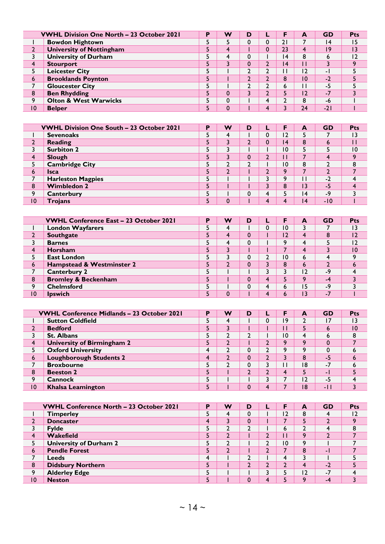|                | <b>VWHL Division One North - 23 October 2021</b> | D | w | D |                | A  | <b>GD</b> | Pts             |
|----------------|--------------------------------------------------|---|---|---|----------------|----|-----------|-----------------|
|                | <b>Bowdon Hightown</b>                           |   |   |   | ו ר            |    | 14        | 15              |
|                | <b>University of Nottingham</b>                  |   | 4 |   | 23             | 4  | 19        | $\overline{13}$ |
|                | <b>University of Durham</b>                      |   | 4 |   | 4              | 8  | ь         | 12              |
| 4              | <b>Stourport</b>                                 |   | 3 |   | $\overline{4}$ |    |           |                 |
|                | <b>Leicester City</b>                            |   |   |   |                |    | - 1       |                 |
| 6              | <b>Brooklands Poynton</b>                        |   |   |   | 8              | 10 | $-2$      |                 |
|                | <b>Gloucester City</b>                           |   |   |   | ь              |    | -5        |                 |
| 8              | <b>Ben Rhydding</b>                              |   | 0 |   |                | 12 | -7        |                 |
| Q              | <b>Olton &amp; West Warwicks</b>                 |   | 0 |   |                | 8  | -6        |                 |
| $\overline{0}$ | <b>Belper</b>                                    |   | 0 |   |                | 24 | $-21$     |                 |

|    | <b>VWHL Division One South - 23 October 2021</b> | D | w | D |   |                | A               | <b>GD</b> | <b>Pts</b> |
|----|--------------------------------------------------|---|---|---|---|----------------|-----------------|-----------|------------|
|    | <b>Sevenoaks</b>                                 | э | 4 |   |   | $\overline{2}$ |                 |           | 13         |
|    | Reading                                          | ⊃ | 3 | ◠ |   | 4              | 8               | b         |            |
|    | <b>Surbiton 2</b>                                | כ | 3 |   |   | ٥١             |                 |           | 10         |
| 4  | Slough                                           | ⊃ | 3 | 0 | ◠ |                |                 |           | $\Omega$   |
|    | <b>Cambridge City</b>                            |   | ∍ | ◠ |   | $\overline{0}$ | 8               | ◠         | 8          |
| 6  | <b>Isca</b>                                      | כ | າ |   |   | Q              |                 |           |            |
| ⇁  | <b>Harleston Magpies</b>                         |   |   |   |   | ۰              |                 | $-2$      |            |
| 8  | <b>Wimbledon 2</b>                               |   |   |   |   | 8              | 3               | -5        |            |
| 9  | Canterbury                                       |   |   | 0 | 4 |                | 14              | -9        |            |
| 10 | <b>Trojans</b>                                   |   | 0 |   |   |                | $\overline{14}$ | $-10$     |            |

|    | <b>VWHL Conference East - 23 October 2021</b> | D | w | D |   | F  | A              | <b>GD</b> | <b>Pts</b>      |
|----|-----------------------------------------------|---|---|---|---|----|----------------|-----------|-----------------|
|    | <b>London Wayfarers</b>                       |   | 4 |   |   | 10 |                |           | $\overline{13}$ |
|    | <b>Southgate</b>                              |   | 4 |   |   | 12 | 4              | 8         | 2               |
|    | <b>Barnes</b>                                 |   | 4 |   |   | Ω  | 4              |           | 12              |
|    | <b>Horsham</b>                                |   | 3 |   |   |    |                |           | 10              |
|    | <b>East London</b>                            |   | 3 |   |   | 10 | 6              | 4         |                 |
| 6  | Hampstead & Westminster 2                     |   | C |   |   | 8  | 6              |           |                 |
|    | <b>Canterbury 2</b>                           |   |   |   |   |    | $\overline{2}$ | $-9$      |                 |
| 8  | <b>Bromley &amp; Beckenham</b>                |   |   |   | 4 |    | ٥              | $-4$      |                 |
| Q  | <b>Chelmsford</b>                             |   |   |   | д | ь  | 15             | $-9$      |                 |
| 10 | <b>Ipswich</b>                                |   | 0 |   |   |    | 13             | $-1$      |                 |

|    | <b>VWHL Conference Midlands - 23 October 2021</b> | Р | w | D |     | A   | <b>GD</b> | <b>Pts</b>      |
|----|---------------------------------------------------|---|---|---|-----|-----|-----------|-----------------|
|    | <b>Sutton Coldfield</b>                           |   | 4 |   | و ا |     | 17        | 13              |
|    | <b>Bedford</b>                                    |   | 3 |   |     |     | ь         | $\overline{10}$ |
|    | <b>St. Albans</b>                                 |   | ∍ |   | ۱0  | 4   | ь         | 8               |
|    | University of Birmingham 2                        | ⊃ | ำ |   | a   | ٥   |           |                 |
|    | <b>Oxford University</b>                          |   | ำ |   | ο   | ٥   | $\Omega$  |                 |
| 6  | <b>Loughborough Students 2</b>                    | 4 | ำ | υ |     | 8   | -5        |                 |
|    | <b>Broxbourne</b>                                 |   | ∍ | υ |     | 18  | $-7$      | o               |
| 8  | <b>Beeston 2</b>                                  |   |   |   |     |     | - 1       |                 |
| 9  | <b>Cannock</b>                                    |   |   |   |     | 2 ا | -5        |                 |
| 10 | <b>Khalsa Leamington</b>                          |   |   |   |     | 18  | $-11$     |                 |

|    | <b>VWHL Conference North - 23 October 2021</b> | D | w | D |                | A              | <b>GD</b> | Pts     |
|----|------------------------------------------------|---|---|---|----------------|----------------|-----------|---------|
|    | <b>Timperley</b>                               |   | 4 |   | 12             | 8              |           | 12      |
|    | <b>Doncaster</b>                               | 4 | 3 | υ |                |                |           | $\circ$ |
|    | <b>Fylde</b>                                   |   |   |   | b              |                |           | 8       |
|    | Wakefield                                      | э | C |   |                | Q              | ∍         |         |
|    | <b>University of Durham 2</b>                  |   |   |   | $\overline{0}$ | ۰              |           |         |
| 6  | <b>Pendle Forest</b>                           | ÷ | ົ |   |                | 8              | - 1       |         |
|    | <b>Leeds</b>                                   | 4 |   | ⌒ |                |                |           |         |
| 8  | <b>Didsbury Northern</b>                       |   |   |   |                | 4              | $-2$      |         |
| q  | <b>Alderley Edge</b>                           |   |   |   |                | $\overline{2}$ | $-7$      |         |
| 10 | <b>Neston</b>                                  |   |   |   |                | $\circ$        | -4        |         |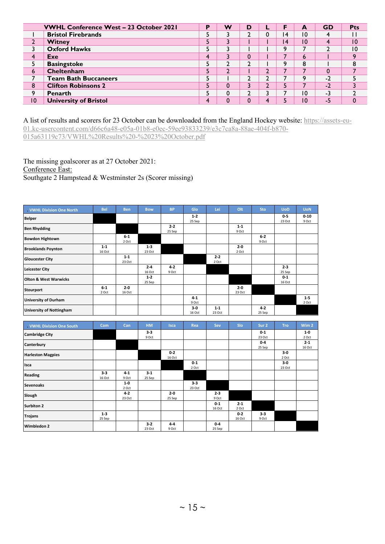|    | <b>VWHL Conference West - 23 October 2021</b> | D | w | D |   | F       | A  | <b>GD</b> | Pts      |
|----|-----------------------------------------------|---|---|---|---|---------|----|-----------|----------|
|    | <b>Bristol Firebrands</b>                     |   |   |   |   | ا 4     | 10 |           |          |
|    | Witney                                        | כ | 3 |   |   | ۱4      | 10 |           | 10       |
|    | <b>Oxford Hawks</b>                           |   |   |   |   | a       |    | ำ         | 10       |
| 4  | Exe                                           | 4 | 3 |   |   |         | 6  |           | $\Omega$ |
|    | <b>Basingstoke</b>                            |   | C |   |   | $\circ$ | 8  |           |          |
| 6  | Cheltenham                                    |   | າ |   |   |         |    | 0         |          |
|    | <b>Team Bath Buccaneers</b>                   |   |   |   |   |         | ٥  | $-2$      |          |
| 8  | <b>Clifton Robinsons 2</b>                    |   | 0 |   |   |         |    | $-2$      |          |
| 9  | <b>Penarth</b>                                |   | 0 |   |   |         | 10 | -3        |          |
| 10 | <b>University of Bristol</b>                  | 4 | 0 |   | ◢ |         | 10 | -5        |          |

A list of results and scorers for 23 October can be downloaded from the England Hockey website: [https://assets-eu-](https://assets-eu-01.kc-usercontent.com/d66c6a48-e05a-01b8-e0ec-59ee93833239/e3c7ca8a-88ae-404f-b870-015a63119c73/VWHL%20Results%20-%2023%20October.pdf)[01.kc-usercontent.com/d66c6a48-e05a-01b8-e0ec-59ee93833239/e3c7ca8a-88ae-404f-b870-](https://assets-eu-01.kc-usercontent.com/d66c6a48-e05a-01b8-e0ec-59ee93833239/e3c7ca8a-88ae-404f-b870-015a63119c73/VWHL%20Results%20-%2023%20October.pdf) [015a63119c73/VWHL%20Results%20-%2023%20October.pdf](https://assets-eu-01.kc-usercontent.com/d66c6a48-e05a-01b8-e0ec-59ee93833239/e3c7ca8a-88ae-404f-b870-015a63119c73/VWHL%20Results%20-%2023%20October.pdf)

The missing goalscorer as at 27 October 2021:

Conference East:

Southgate 2 Hampstead & Westminster 2s (Scorer missing)

| . VWHL Division One North        | <b>Bel</b>        | <b>Ben</b>        | <b>Bow</b>        | <b>BP</b>         | Glo              | Lei               | Olt               | Sto               | <b>UoD</b>        | <b>UoN</b>        |
|----------------------------------|-------------------|-------------------|-------------------|-------------------|------------------|-------------------|-------------------|-------------------|-------------------|-------------------|
| <b>Belper</b>                    |                   |                   |                   |                   | $1-2$<br>25 Sep  |                   |                   |                   | $0-5$<br>23 Oct   | $0 - 10$<br>9 Oct |
| <b>Ben Rhydding</b>              |                   |                   |                   | $2 - 2$<br>25 Sep |                  |                   | $1 - 1$<br>9 Oct  |                   |                   |                   |
| <b>Bowdon Hightown</b>           |                   | $6-1$<br>2 Oct    |                   |                   |                  |                   |                   | $6-2$<br>9 Oct    |                   |                   |
| <b>Brooklands Poynton</b>        | $1 - 1$<br>16 Oct |                   | $1 - 3$<br>23 Oct |                   |                  |                   | $2 - 0$<br>2 Oct  |                   |                   |                   |
| <b>Gloucester City</b>           |                   | $1 - 1$<br>23 Oct |                   |                   |                  | $2 - 2$<br>2 Oct  |                   |                   |                   |                   |
| <b>Leicester City</b>            |                   |                   | $2 - 4$<br>16 Oct | $4 - 2$<br>9 Oct  |                  |                   |                   |                   | $2 - 3$<br>25 Sep |                   |
| <b>Olton &amp; West Warwicks</b> |                   |                   | $1 - 2$<br>25 Sep |                   |                  |                   |                   |                   | $0 - 1$<br>16 Oct |                   |
| <b>Stourport</b>                 | $6-1$<br>2 Oct    | $2 - 0$<br>16 Oct |                   |                   |                  |                   | $2 - 0$<br>23 Oct |                   |                   |                   |
| <b>University of Durham</b>      |                   |                   |                   |                   | $4 - 1$<br>9 Oct |                   |                   |                   |                   | $1 - 5$<br>2 Oct  |
| <b>University of Nottingham</b>  |                   |                   |                   |                   | $3-0$<br>16 Oct  | $1 - 1$<br>23 Oct |                   | $4 - 2$<br>25 Sep |                   |                   |

| . VWHL Division One South | Cam     | Can     | <b>HM</b> | <b>Isca</b> | Rea     | Sev     | Slo     | Sur 2   | <b>Tro</b> | Wim <sub>2</sub> |
|---------------------------|---------|---------|-----------|-------------|---------|---------|---------|---------|------------|------------------|
| <b>Cambridge City</b>     |         |         | $3-3$     |             |         |         |         | $0 - 1$ |            | $1-0$            |
|                           |         |         | 9 Oct     |             |         |         |         | 23 Oct  |            | 2 Oct            |
| Canterbury                |         |         |           |             |         |         |         | $0 - 4$ |            | $2 - 1$          |
|                           |         |         |           |             |         |         |         | 25 Sep  |            | 16 Oct           |
| <b>Harleston Magpies</b>  |         |         |           | $0 - 2$     |         |         |         |         | $3-0$      |                  |
|                           |         |         |           | 16 Oct      |         |         |         |         | 2 Oct      |                  |
| Isca                      |         |         |           |             | $0-1$   |         |         |         | $3-0$      |                  |
|                           |         |         |           |             | 2 Oct   |         |         |         | 23 Oct     |                  |
| <b>Reading</b>            | $3 - 3$ | $4 - 1$ | $3 - 1$   |             |         |         |         |         |            |                  |
|                           | 16 Oct  | 9 Oct   | 25 Sep    |             |         |         |         |         |            |                  |
|                           |         | $1-0$   |           |             | $3 - 3$ |         |         |         |            |                  |
| <b>Sevenoaks</b>          |         | 2 Oct   |           |             | 23 Oct  |         |         |         |            |                  |
|                           |         | $4 - 2$ |           | $2 - 0$     |         | $2 - 3$ |         |         |            |                  |
| Slough                    |         | 23 Oct  |           | 25 Sep      |         | 9 Oct   |         |         |            |                  |
|                           |         |         |           |             |         | $0 - 1$ | $2 - 1$ |         |            |                  |
| <b>Surbiton 2</b>         |         |         |           |             |         | 16 Oct  | 2 Oct   |         |            |                  |
|                           | $1 - 3$ |         |           |             |         |         | $0 - 2$ | $3 - 3$ |            |                  |
| <b>Trojans</b>            | 25 Sep  |         |           |             |         |         | 16 Oct  | 9 Oct   |            |                  |
|                           |         |         | $3-2$     | $4 - 4$     |         | $0 - 4$ |         |         |            |                  |
| <b>Wimbledon 2</b>        |         |         | 23 Oct    | 9 Oct       |         | 25 Sep  |         |         |            |                  |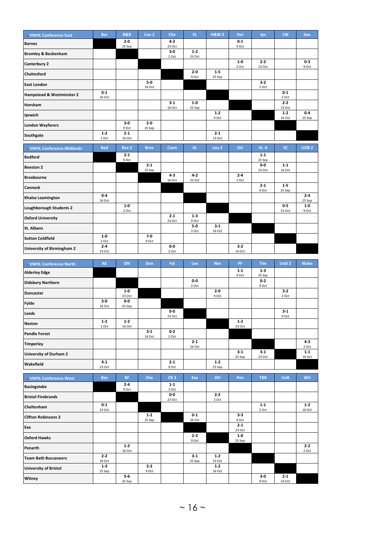| . VWHL Conference East         | <b>Bar</b>       | <b>B&amp;B</b>    | Can <sub>2</sub>  | Che               | EL.               | <b>H&amp;W2</b>   | Hor            | <b>lps</b>        | LW                | Sou              |
|--------------------------------|------------------|-------------------|-------------------|-------------------|-------------------|-------------------|----------------|-------------------|-------------------|------------------|
| <b>Barnes</b>                  |                  | $2-0$<br>25 Sep   |                   | $4 - 2$<br>23 Oct |                   |                   | $0-1$<br>9 Oct |                   |                   |                  |
| <b>Bromley &amp; Beckenham</b> |                  |                   |                   | $3-0$<br>2 Oct    | $1 - 2$<br>23 Oct |                   |                |                   |                   |                  |
| Canterbury 2                   |                  |                   |                   |                   |                   |                   | $1-0$          | $2 - 2$           |                   | $0 - 3$          |
| <b>Chelmsford</b>              |                  |                   |                   |                   | $2 - 0$           | $1-5$             | 2 Oct          | 23 Oct            |                   | 9 Oct            |
| <b>East London</b>             |                  |                   | $5-0$             |                   | 9 Oct             | 25 Sep            |                | $3 - 2$           |                   |                  |
|                                | $0 - 1$          |                   | 16 Oct            |                   |                   |                   |                | 2 Oct             | $0-1$             |                  |
| Hampstead & Westminster 2      | 16 Oct           |                   |                   |                   |                   |                   |                |                   | 2 Oct             |                  |
| Horsham                        |                  |                   |                   | $3 - 1$<br>16 Oct | $1-0$<br>25 Sep   |                   |                |                   | $2 - 2$<br>23 Oct |                  |
| Ipswich                        |                  |                   |                   |                   |                   | $1 - 2$<br>9 Oct  |                |                   | $1-2$<br>16 Oct   | $0-4$<br>25 Sep  |
| <b>London Wayfarers</b>        |                  | $3-0$<br>9 Oct    | $2 - 0$<br>25 Sep |                   |                   |                   |                |                   |                   |                  |
| Southgate                      | $1 - 2$<br>2 Oct | $2 - 1$<br>16 Oct |                   |                   |                   | $2 - 1$<br>23 Oct |                |                   |                   |                  |
| . VWHL Conference Midlands     | <b>Bed</b>       | Bee <sub>2</sub>  | <b>Brox</b>       | Cann              | <b>KL</b>         | Lou <sub>2</sub>  | <b>OU</b>      | St. A             | <b>SC</b>         | UOB <sub>2</sub> |
| <b>Bedford</b>                 |                  | $2 - 1$<br>9 Oct  |                   |                   |                   |                   |                | $1 - 1$<br>25 Sep |                   |                  |
|                                |                  |                   |                   |                   |                   |                   |                |                   |                   |                  |
| <b>Beeston 2</b>               |                  |                   | $2 - 1$           |                   |                   |                   |                | 0-0               | $1 - 1$           |                  |
| <b>Broxbourne</b>              |                  |                   | 25 Sep            | $4 - 3$           | $4 - 2$           |                   | $2 - 4$        | 23 Oct            | 16 Oct            |                  |
|                                |                  |                   |                   | 16 Oct            | 23 Oct            |                   | 2 Oct          | $2 - 1$           | $1 - 5$           |                  |
| Cannock                        | $0 - 4$          |                   |                   |                   |                   |                   |                | 9 Oct             | 25 Sep            | $2 - 4$          |
| Khalsa Leamington              | 16 Oct           |                   |                   |                   |                   |                   |                |                   |                   | 25 Sep           |
| <b>Loughborough Students 2</b> |                  | $1-0$<br>2 Oct    |                   |                   |                   |                   |                |                   | $0-5$<br>23 Oct   | $1-0$<br>9 Oct   |
| <b>Oxford University</b>       |                  |                   |                   | $2 - 1$<br>23 Oct | $1 - 3$<br>9 Oct  |                   |                |                   |                   |                  |
| St. Albans                     |                  |                   |                   |                   | $5-0$             | $3 - 1$           |                |                   |                   |                  |
| <b>Sutton Coldfield</b>        | $1-0$<br>2 Oct   |                   | $7 - 0$<br>9 Oct  |                   | 2 Oct             | 16 Oct            |                |                   |                   |                  |

| <b>VWHL Conference North</b>  | <b>AE</b>         | <b>DN</b>         | Don               | Fyl              | Lee               | <b>Nes</b>       | <b>PF</b>         | <b>Tim</b>       | UoD <sub>2</sub> | Wake              |
|-------------------------------|-------------------|-------------------|-------------------|------------------|-------------------|------------------|-------------------|------------------|------------------|-------------------|
| <b>Alderley Edge</b>          |                   |                   |                   |                  |                   |                  | $1 - 1$<br>9 Oct  | $1-3$<br>25 Sep  |                  |                   |
| <b>Didsbury Northern</b>      |                   |                   |                   |                  | $0-0$<br>2 Oct    |                  |                   | $0 - 2$<br>9 Oct |                  |                   |
| <b>Doncaster</b>              |                   | $1-0$<br>23 Oct   |                   |                  |                   | $2 - 0$<br>9 Oct |                   |                  | $3-2$<br>2 Oct   |                   |
| <b>Fylde</b>                  | $3-0$<br>16 Oct   | $0-0$<br>25 Sep   |                   |                  |                   |                  |                   |                  |                  |                   |
| Leeds                         |                   |                   |                   | $0-0$<br>23 Oct  |                   |                  |                   |                  | $3 - 1$<br>9 Oct |                   |
| <b>Neston</b>                 | $1-2$<br>2 Oct    | $1 - 2$<br>16 Oct |                   |                  |                   |                  | $1-2$<br>23 Oct   |                  |                  |                   |
| <b>Pendle Forest</b>          |                   |                   | $3 - 1$<br>16 Oct | $0-2$<br>2 Oct   |                   |                  |                   |                  |                  |                   |
| <b>Timperley</b>              |                   |                   |                   |                  | $2 - 1$<br>16 Oct |                  |                   |                  |                  | $4 - 3$<br>2 Oct  |
| <b>University of Durham 2</b> |                   |                   |                   |                  |                   |                  | $3 - 1$<br>25 Sep | $3-1$<br>23 Oct  |                  | $1 - 1$<br>16 Oct |
| Wakefield                     | $4 - 1$<br>23 Oct |                   |                   | $2 - 1$<br>9 Oct |                   | $1-2$<br>25 Sep  |                   |                  |                  |                   |

| . VWHL Conference West       | <b>Bas</b>        | <b>BF</b>        | Che               | <b>CR 2</b>      | Exe              | OH                | Pen               | <b>TBB</b>       | <b>UoB</b>        | Wit               |
|------------------------------|-------------------|------------------|-------------------|------------------|------------------|-------------------|-------------------|------------------|-------------------|-------------------|
| <b>Basingstoke</b>           |                   | $2 - 4$<br>9 Oct |                   | $1 - 1$<br>2 Oct |                  |                   |                   |                  |                   |                   |
| <b>Bristol Firebrands</b>    |                   |                  |                   | 0-0<br>23 Oct    |                  | $2 - 2$<br>2 Oct  |                   |                  |                   |                   |
| Cheltenham                   | $0-1$<br>23 Oct   |                  |                   |                  |                  |                   |                   | $1 - 1$<br>2 Oct |                   | $1 - 2$<br>16 Oct |
| <b>Clifton Robinsons 2</b>   |                   |                  | $1 - 2$<br>25 Sep |                  | $0-1$<br>16 Oct  |                   | $3 - 3$<br>9 Oct  |                  |                   |                   |
| Exe                          |                   |                  |                   |                  |                  |                   | $2 - 1$<br>23 Oct |                  |                   |                   |
| <b>Oxford Hawks</b>          |                   |                  |                   |                  | $2 - 3$<br>9 Oct |                   | $1-0$<br>25 Sep   |                  |                   |                   |
| Penarth                      |                   | $1-2$<br>16 Oct  |                   |                  |                  |                   |                   |                  |                   | $2 - 2$<br>2 Oct  |
| <b>Team Bath Buccaneers</b>  | $2 - 2$<br>16 Oct |                  |                   |                  | $3-1$<br>25 Sep  | $1-2$<br>23 Oct   |                   |                  |                   |                   |
| <b>University of Bristol</b> | $1 - 3$<br>25 Sep |                  | $2 - 3$<br>9 Oct  |                  |                  | $1 - 2$<br>16 Oct |                   |                  |                   |                   |
| Witney                       |                   | $5-6$<br>25 Sep  |                   |                  |                  |                   |                   | 3-0<br>9 Oct     | $2 - 1$<br>23 Oct |                   |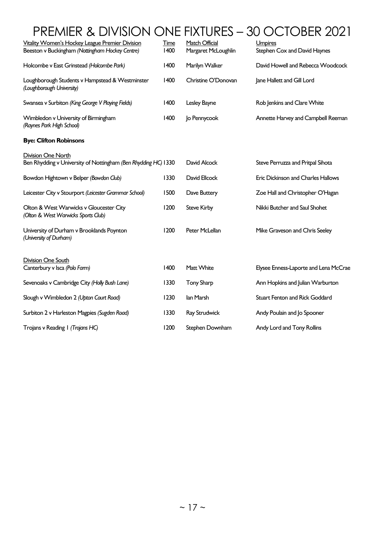# PREMIER & DIVISION ONE FIXTURES – 30 OCTOBER 2021

| Vitality Women's Hockey League Premier Division<br>Beeston v Buckingham (Nottingham Hockey Centre) | <b>Time</b><br>1400 | Match Official<br>Margaret McLoughlin | Umpires<br>Stephen Cox and David Haynes |
|----------------------------------------------------------------------------------------------------|---------------------|---------------------------------------|-----------------------------------------|
| Holcombe v East Grinstead (Holcombe Park)                                                          | 1400                | Marilyn Walker                        | David Howell and Rebecca Woodcock       |
| Loughborough Students v Hampstead & Westminster<br>(Loughborough University)                       | 1400                | Christine O'Donovan                   | Jane Hallett and Gill Lord              |
| Swansea v Surbiton (King George V Playing Fields)                                                  | 1400                | Lesley Bayne                          | Rob Jenkins and Clare White             |
| Wimbledon v University of Birmingham<br>(Raynes Park High School)                                  | 1400                | Jo Pennycook                          | Annette Harvey and Campbell Reeman      |
| <b>Bye: Clifton Robinsons</b>                                                                      |                     |                                       |                                         |
| <b>Division One North</b><br>Ben Rhydding v University of Nottingham (Ben Rhydding HC) 1330        |                     | David Alcock                          | Steve Perruzza and Pritpal Sihota       |
| Bowdon Hightown v Belper (Bowdon Club)                                                             | 1330                | David Ellcock                         | Eric Dickinson and Charles Hallows      |
| Leicester City v Stourport (Leicester Grammar School)                                              | 1500                | Dave Buttery                          | Zoe Hall and Christopher O'Hagan        |
| Olton & West Warwicks v Gloucester City<br>(Olton & West Warwicks Sports Club)                     | 1200                | <b>Steve Kirby</b>                    | Nikki Butcher and Saul Shohet           |
| University of Durham v Brooklands Poynton<br>(University of Durham)                                | 1200                | Peter McLellan                        | Mike Graveson and Chris Seeley          |
| <b>Division One South</b><br>Canterbury v Isca (Polo Farm)                                         | 1400                | Matt White                            | Elysee Enness-Laporte and Lena McCrae   |
| Sevenoaks v Cambridge City (Holly Bush Lane)                                                       | 1330                | <b>Tony Sharp</b>                     | Ann Hopkins and Julian Warburton        |
| Slough v Wimbledon 2 (Upton Court Road)                                                            | 1230                | lan Marsh                             | Stuart Fenton and Rick Goddard          |
| Surbiton 2 v Harleston Magpies (Sugden Road)                                                       | 1330                | Ray Strudwick                         | Andy Poulain and Jo Spooner             |
| Trojans v Reading   (Trojans HC)                                                                   | 1200                | Stephen Downham                       | Andy Lord and Tony Rollins              |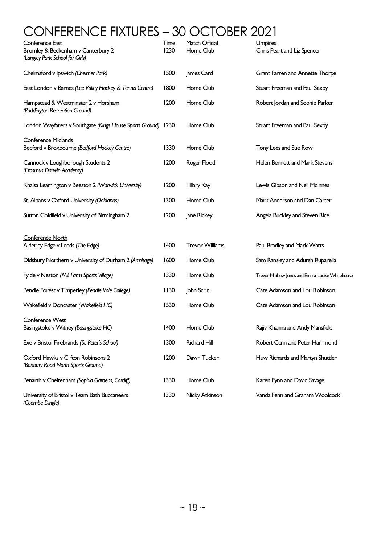# CONFERENCE FIXTURES – 30 OCTOBER 2021

| Conference East<br>Bromley & Beckenham v Canterbury 2<br>(Langley Park School for Girls) | <u>Time</u><br>1230 | Match Official<br>Home Club | Umpires<br>Chris Peart and Liz Spencer         |
|------------------------------------------------------------------------------------------|---------------------|-----------------------------|------------------------------------------------|
| Chelmsford v Ipswich (Chelmer Park)                                                      | 1500                | James Card                  | Grant Farren and Annette Thorpe                |
| East London v Barnes (Lee Valley Hockey & Tennis Centre)                                 | 1800                | Home Club                   | Stuart Freeman and Paul Sexby                  |
| Hampstead & Westminster 2 v Horsham<br>(Paddington Recreation Ground)                    | 1200                | Home Club                   | Robert Jordan and Sophie Parker                |
| London Wayfarers v Southgate (Kings House Sports Ground) 1230                            |                     | Home Club                   | Stuart Freeman and Paul Sexby                  |
| <b>Conference Midlands</b><br>Bedford v Broxbourne (Bedford Hockey Centre)               | 1330                | Home Club                   | Tony Lees and Sue Row                          |
| Cannock v Loughborough Students 2<br>(Erasmus Darwin Academy)                            | 1200                | Roger Flood                 | Helen Bennett and Mark Stevens                 |
| Khalsa Leamington v Beeston 2 (Warwick University)                                       | 1200                | Hilary Kay                  | Lewis Gibson and Neil McInnes                  |
| St. Albans v Oxford University (Oaklands)                                                | 1300                | Home Club                   | Mark Anderson and Dan Carter                   |
| Sutton Coldfield v University of Birmingham 2                                            | 1200                | Jane Rickey                 | Angela Buckley and Steven Rice                 |
| Conference North                                                                         |                     |                             |                                                |
| Alderley Edge v Leeds (The Edge)                                                         | 1400                | <b>Trevor Williams</b>      | Paul Bradley and Mark Watts                    |
| Didsbury Northern v University of Durham 2 (Armitage)                                    | 1600                | Home Club                   | Sam Ransley and Adursh Ruparelia               |
| Fylde v Neston (Mill Farm Sports Village)                                                | 1330                | Home Club                   | Trevor Mathew-Jones and Emma-Louise Whitehouse |
| Pendle Forest v Timperley (Pendle Vale College)                                          | 1130                | John Scrini                 | Cate Adamson and Lou Robinson                  |
| Wakefield v Doncaster (Wakefield HC)                                                     | 1530                | Home Club                   | Cate Adamson and Lou Robinson                  |
| Conference West<br>Basingstoke v Witney (Basingstoke HC)                                 | 1400                | Home Club                   | Rajiv Khanna and Andy Mansfield                |
| Exe v Bristol Firebrands (St. Peter's School)                                            | 1300                | <b>Richard Hill</b>         | Robert Cann and Peter Hammond                  |
| Oxford Hawks v Clifton Robinsons 2<br>(Banbury Road North Sports Ground)                 | 1200                | Dawn Tucker                 | Huw Richards and Martyn Shuttler               |
| Penarth v Cheltenham (Sophia Gardens, Cardiff)                                           | 1330                | Home Club                   | Karen Fynn and David Savage                    |
| University of Bristol v Team Bath Buccaneers<br>(Coombe Dingle)                          | 1330                | Nicky Atkinson              | Vanda Fenn and Graham Woolcock                 |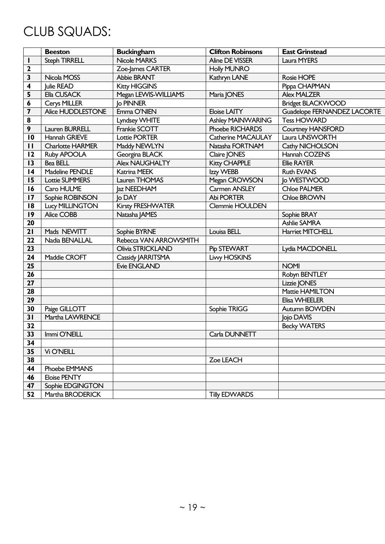# CLUB SQUADS:

|                         | <b>Beeston</b>          | <b>Buckingham</b>      | <b>Clifton Robinsons</b> | <b>East Grinstead</b>       |
|-------------------------|-------------------------|------------------------|--------------------------|-----------------------------|
| I.                      | <b>Steph TIRRELL</b>    | <b>Nicole MARKS</b>    | <b>Aline DE VISSER</b>   | Laura MYERS                 |
| 2                       |                         | Zoe-James CARTER       | <b>Holly MUNRO</b>       |                             |
| 3                       | Nicola MOSS             | Abbie BRANT            | Kathryn LANE             | Rosie HOPE                  |
| 4                       | Julie READ              | <b>Kitty HIGGINS</b>   |                          | Pippa CHAPMAN               |
| 5                       | Ella CUSACK             | Megan LEVVIS-WILLIAMS  | Maria JONES              | <b>Alex MALZER</b>          |
| 6                       | Cerys MILLER            | <b>Jo PINNER</b>       |                          | <b>Bridget BLACKWOOD</b>    |
| $\overline{\mathbf{z}}$ | Alice HUDDLESTONE       | Emma O'NIEN            | <b>Eloise LAITY</b>      | Guadelope FERNANDEZ LACORTE |
| $\pmb{8}$               |                         | Lyndsey WHITE          | <b>Ashley MAINWARING</b> | <b>Tess HOWARD</b>          |
| 9                       | Lauren BURRELL          | Frankie SCOTT          | Phoebe RICHARDS          | <b>Courtney HANSFORD</b>    |
| 10                      | Hannah GRIEVE           | <b>Lottie PORTER</b>   | Catherine MACAULAY       | Laura UNSWORTH              |
| $\mathbf{H}$            | <b>Charlotte HARMER</b> | Maddy NEWLYN           | Natasha FORTNAM          | Cathy NICHOLSON             |
| 12                      | Ruby APOOLA             | Georgina BLACK         | Claire JONES             | Hannah COZENS               |
| 13                      | Bea BELL                | <b>Alex NAUGHALTY</b>  | <b>Kitty CHAPPLE</b>     | <b>Ellie RAYER</b>          |
| 4                       | Madeline PENDLE         | Katrina MEEK           | Izzy WEBB                | <b>Ruth EVANS</b>           |
| 15                      | <b>Lottie SUMMERS</b>   | Lauren THOMAS          | Megan CROWSON            | <b>Jo WESTWOOD</b>          |
| 16                      | Caro HULME              | Jaz NEEDHAM            | Carmen ANSLEY            | <b>Chloe PALMER</b>         |
| 17                      | Sophie ROBINSON         | lo DAY                 | Abi PORTER               | Chloe BROWN                 |
| 18                      | <b>Lucy MILLINGTON</b>  | Kirsty FRESHWATER      | Clemmie HOULDEN          |                             |
| 19                      | Alice COBB              | Natasha JAMES          |                          | Sophie BRAY                 |
| 20                      |                         |                        |                          | <b>Ashlie SAMRA</b>         |
| 21                      | Mads NEWITT             | Sophie BYRNE           | Louisa BELL              | <b>Harriet MITCHELL</b>     |
| 22                      | Nadia BENALLAL          | Rebecca VAN ARROWSMITH |                          |                             |
| 23                      |                         | Olivia STRICKLAND      | Pip STEWART              | Lydia MACDONELL             |
| 24                      | Maddie CROFT            | Cassidy JARRITSMA      | <b>Livy HOSKINS</b>      |                             |
| 25                      |                         | <b>Evie ENGLAND</b>    |                          | <b>NOMI</b>                 |
| 26                      |                         |                        |                          | Robyn BENTLEY               |
| 27                      |                         |                        |                          | Lizzie JONES                |
| 28                      |                         |                        |                          | Mattie HAMILTON             |
| 29                      |                         |                        |                          | Elisa WHEELER               |
| 30                      | Paige GILLOTT           |                        | Sophie TRIGG             | Autumn BOWDEN               |
| 31                      | Martha LAWRENCE         |                        |                          | Jojo DAVIS                  |
| 32                      |                         |                        |                          | <b>Becky WATERS</b>         |
| 33                      | Immi O'NEILL            |                        | Carla DUNNETT            |                             |
| 34                      |                         |                        |                          |                             |
| 35                      | Vi O'NEILL              |                        |                          |                             |
| 38                      |                         |                        | Zoe LEACH                |                             |
| 44                      | Phoebe EMMANS           |                        |                          |                             |
| 46                      | <b>Eloise PENTY</b>     |                        |                          |                             |
| 47                      | Sophie EDGINGTON        |                        |                          |                             |
| 52                      | Martha BRODERICK        |                        | <b>Tilly EDWARDS</b>     |                             |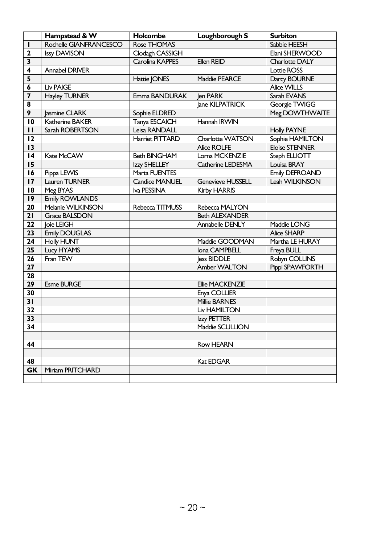|                         | Hampstead & W          | Holcombe              | Loughborough S           | <b>Surbiton</b>       |
|-------------------------|------------------------|-----------------------|--------------------------|-----------------------|
| $\mathbf{I}$            | Rochelle GIANFRANCESCO | Rose THOMAS           |                          | Sabbie HEESH          |
| $\mathbf{2}$            | <b>Issy DAVISON</b>    | Clodagh CASSIGH       |                          | Elani SHERWOOD        |
| 3                       |                        | Carolina KAPPES       | Ellen REID               | Charlotte DALY        |
| $\overline{\mathbf{4}}$ | <b>Annabel DRIVER</b>  |                       |                          | Lottie ROSS           |
| 5                       |                        | Hattie JONES          | Maddie PEARCE            | Darcy BOURNE          |
| 6                       | <b>Liv PAIGE</b>       |                       |                          | Alice WILLS           |
| $\overline{\mathbf{z}}$ | <b>Hayley TURNER</b>   | Emma BANDURAK         | Jen PARK                 | Sarah EVANS           |
| 8                       |                        |                       | lane KILPATRICK          | Georgie TWIGG         |
| 9                       | Jasmine CLARK          | Sophie ELDRED         |                          | Meg DOWTHWAITE        |
| $\overline{10}$         | Katherine BAKER        | Tanya ESCAICH         | Hannah IRWIN             |                       |
| $\mathbf{H}$            | Sarah ROBERTSON        | Leisa RANDALL         |                          | <b>Holly PAYNE</b>    |
| 12                      |                        | Harriet PITTARD       | Charlotte WATSON         | Sophie HAMILTON       |
| 13                      |                        |                       | <b>Alice ROLFE</b>       | <b>Eloise STENNER</b> |
| 4                       | Kate McCAW             | <b>Beth BINGHAM</b>   | Lorna MCKENZIE           | Steph ELLIOTT         |
| 15                      |                        | Izzy SHELLEY          | Catherine LEDESMA        | Louisa BRAY           |
| 16                      | Pippa LEWIS            | Marta FUENTES         |                          | <b>Emily DEFROAND</b> |
| 17                      | Lauren TURNER          | <b>Candice MANUEL</b> | <b>Genevieve HUSSELL</b> | Leah WILKINSON        |
| 18                      | Meg BYAS               | Iva PESSINA           | <b>Kirby HARRIS</b>      |                       |
| 9                       | <b>Emily ROWLANDS</b>  |                       |                          |                       |
| 20                      | Melanie WILKINSON      | Rebecca TITMUSS       | Rebecca MALYON           |                       |
| 21                      | <b>Grace BALSDON</b>   |                       | <b>Beth ALEXANDER</b>    |                       |
| 22                      | Joie LEIGH             |                       | Annabelle DENLY          | Maddie LONG           |
| 23                      | <b>Emily DOUGLAS</b>   |                       |                          | <b>Alice SHARP</b>    |
| 24                      | <b>Holly HUNT</b>      |                       | Maddie GOODMAN           | Martha LE HURAY       |
| 25                      | Lucy HYAMS             |                       | Iona CAMPBELL            | Freya BULL            |
| 26                      | Fran TEW               |                       | less BIDDLE              | Robyn COLLINS         |
| 27                      |                        |                       | Amber WALTON             | Pippi SPAWFORTH       |
| 28                      |                        |                       |                          |                       |
| 29                      | <b>Esme BURGE</b>      |                       | Ellie MACKENZIE          |                       |
| 30                      |                        |                       | Enya COLLIER             |                       |
| 31                      |                        |                       | <b>Millie BARNES</b>     |                       |
| 32                      |                        |                       | <b>Liv HAMILTON</b>      |                       |
| 33                      |                        |                       | Izzy PETTER              |                       |
| 34                      |                        |                       | Maddie SCULLION          |                       |
|                         |                        |                       |                          |                       |
| 44                      |                        |                       | <b>Row HEARN</b>         |                       |
|                         |                        |                       |                          |                       |
| 48                      |                        |                       | Kat EDGAR                |                       |
| <b>GK</b>               | Miriam PRITCHARD       |                       |                          |                       |
|                         |                        |                       |                          |                       |